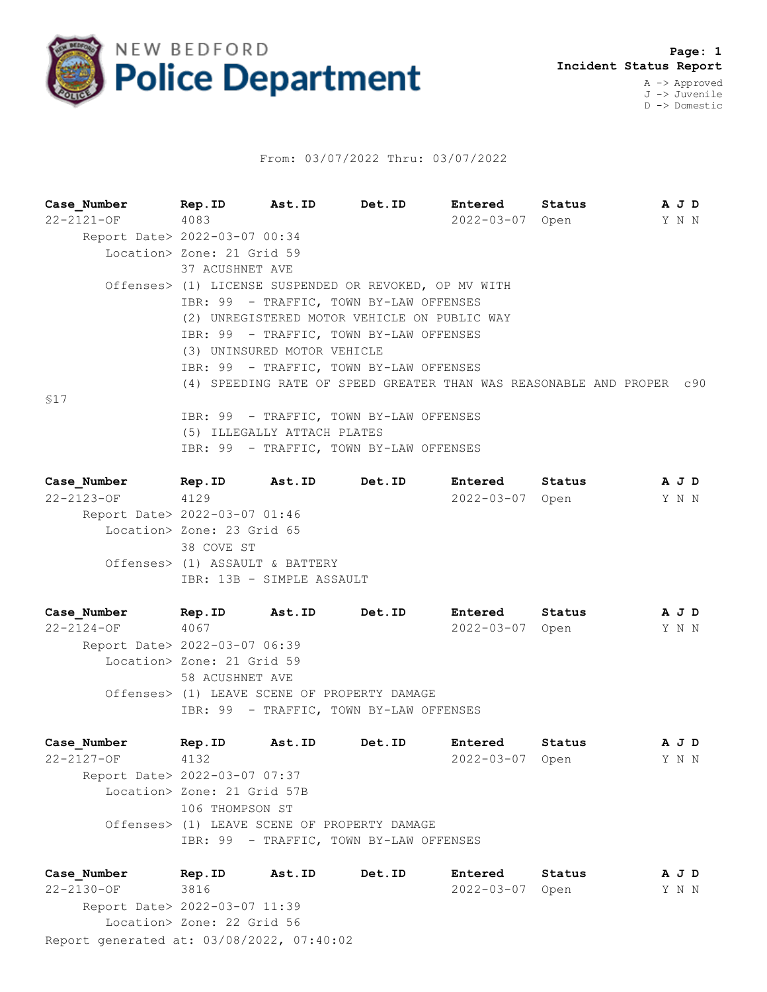

## From: 03/07/2022 Thru: 03/07/2022

| Case Number                   | Rep. ID Ast. ID Det. ID                                |                                              | Entered                                                               | Status |       | A J D |  |
|-------------------------------|--------------------------------------------------------|----------------------------------------------|-----------------------------------------------------------------------|--------|-------|-------|--|
| 22-2121-OF 4083               |                                                        |                                              | 2022-03-07 Open                                                       |        | Y N N |       |  |
| Report Date> 2022-03-07 00:34 |                                                        |                                              |                                                                       |        |       |       |  |
|                               | Location> Zone: 21 Grid 59                             |                                              |                                                                       |        |       |       |  |
|                               | 37 ACUSHNET AVE                                        |                                              |                                                                       |        |       |       |  |
|                               | Offenses> (1) LICENSE SUSPENDED OR REVOKED, OP MV WITH |                                              |                                                                       |        |       |       |  |
|                               |                                                        | IBR: 99 - TRAFFIC, TOWN BY-LAW OFFENSES      |                                                                       |        |       |       |  |
|                               |                                                        | (2) UNREGISTERED MOTOR VEHICLE ON PUBLIC WAY |                                                                       |        |       |       |  |
|                               |                                                        | IBR: 99 - TRAFFIC, TOWN BY-LAW OFFENSES      |                                                                       |        |       |       |  |
|                               |                                                        | (3) UNINSURED MOTOR VEHICLE                  |                                                                       |        |       |       |  |
|                               |                                                        | IBR: 99 - TRAFFIC, TOWN BY-LAW OFFENSES      |                                                                       |        |       |       |  |
|                               |                                                        |                                              | (4) SPEEDING RATE OF SPEED GREATER THAN WAS REASONABLE AND PROPER c90 |        |       |       |  |
| \$17                          |                                                        |                                              |                                                                       |        |       |       |  |
|                               |                                                        | IBR: 99 - TRAFFIC, TOWN BY-LAW OFFENSES      |                                                                       |        |       |       |  |
|                               |                                                        | (5) ILLEGALLY ATTACH PLATES                  |                                                                       |        |       |       |  |
|                               |                                                        | IBR: 99 - TRAFFIC, TOWN BY-LAW OFFENSES      |                                                                       |        |       |       |  |

| Case Number                   | Rep.ID                     | Ast.ID                          | Det.ID | Entered          | Status | A J D |       |
|-------------------------------|----------------------------|---------------------------------|--------|------------------|--------|-------|-------|
| $22 - 2123 - OF$              | 4129                       |                                 |        | $2022 - 03 - 07$ | Open   |       | Y N N |
| Report Date> 2022-03-07 01:46 |                            |                                 |        |                  |        |       |       |
|                               | Location> Zone: 23 Grid 65 |                                 |        |                  |        |       |       |
|                               | 38 COVE ST                 |                                 |        |                  |        |       |       |
|                               |                            | Offenses> (1) ASSAULT & BATTERY |        |                  |        |       |       |
|                               |                            | IBR: 13B - SIMPLE ASSAULT       |        |                  |        |       |       |
|                               |                            |                                 |        |                  |        |       |       |

**Case\_Number Rep.ID Ast.ID Det.ID Entered Status A J D** 22-2124-OF 4067 2022-03-07 Open Y N N Report Date> 2022-03-07 06:39 Location> Zone: 21 Grid 59 58 ACUSHNET AVE Offenses> (1) LEAVE SCENE OF PROPERTY DAMAGE IBR: 99 - TRAFFIC, TOWN BY-LAW OFFENSES

**Case\_Number Rep.ID Ast.ID Det.ID Entered Status A J D** 22-2127-OF 4132 2022-03-07 Open Y N N Report Date> 2022-03-07 07:37 Location> Zone: 21 Grid 57B 106 THOMPSON ST Offenses> (1) LEAVE SCENE OF PROPERTY DAMAGE IBR: 99 - TRAFFIC, TOWN BY-LAW OFFENSES

Report generated at: 03/08/2022, 07:40:02 **Case\_Number Rep.ID Ast.ID Det.ID Entered Status A J D** 22-2130-OF 3816 2022-03-07 Open Y N N Report Date> 2022-03-07 11:39 Location> Zone: 22 Grid 56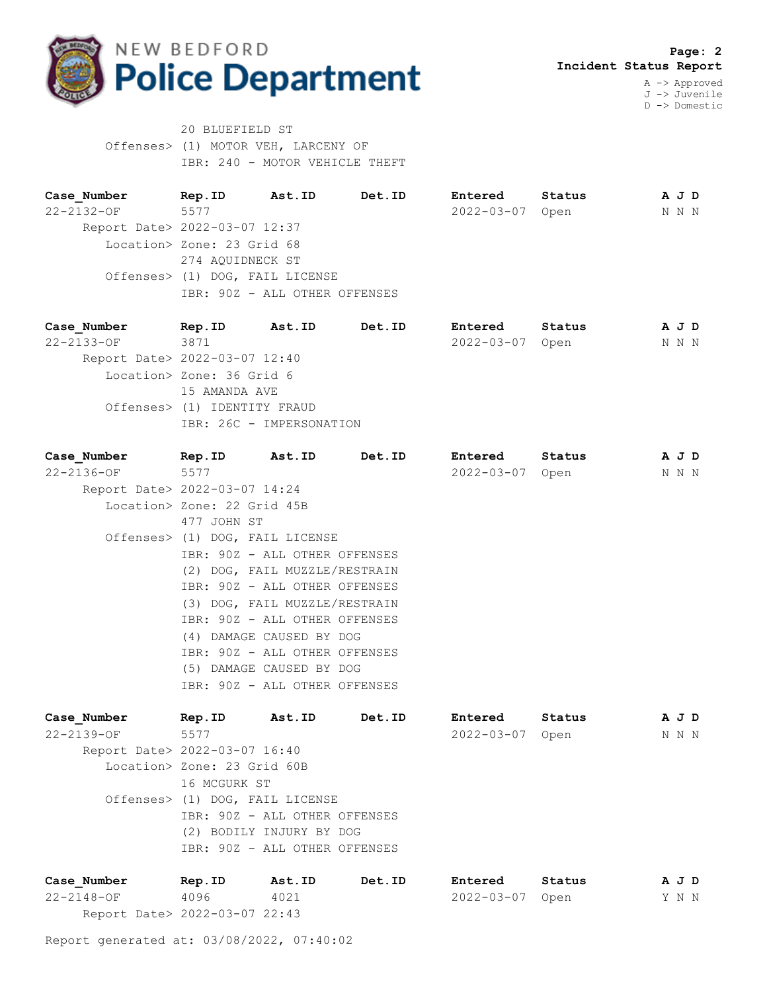

20 BLUEFIELD ST Offenses> (1) MOTOR VEH, LARCENY OF IBR: 240 - MOTOR VEHICLE THEFT

**Case\_Number Rep.ID Ast.ID Det.ID Entered Status A J D** 22-2132-OF 5577 2022-03-07 Open N N N Report Date> 2022-03-07 12:37 Location> Zone: 23 Grid 68 274 AQUIDNECK ST Offenses> (1) DOG, FAIL LICENSE IBR: 90Z - ALL OTHER OFFENSES

**Case\_Number Rep.ID Ast.ID Det.ID Entered Status A J D** 22-2133-OF 3871 3871 2022-03-07 Open N N N N Report Date> 2022-03-07 12:40 Location> Zone: 36 Grid 6 15 AMANDA AVE Offenses> (1) IDENTITY FRAUD IBR: 26C - IMPERSONATION

| Case Number                   | Rep.ID                          | <b>Ast.ID</b> | Det.ID        | Entered          | Status | A J D |
|-------------------------------|---------------------------------|---------------|---------------|------------------|--------|-------|
| 22-2136-OF                    | 5577                            |               |               | $2022 - 03 - 07$ | Open   | N N N |
| Report Date> 2022-03-07 14:24 |                                 |               |               |                  |        |       |
|                               | Location> Zone: 22 Grid 45B     |               |               |                  |        |       |
|                               | 477 JOHN ST                     |               |               |                  |        |       |
|                               | Offenses> (1) DOG, FAIL LICENSE |               |               |                  |        |       |
|                               | IBR: 90Z - ALL OTHER OFFENSES   |               |               |                  |        |       |
|                               | (2) DOG, FAIL MUZZLE/RESTRAIN   |               |               |                  |        |       |
|                               | IBR: 90Z - ALL OTHER OFFENSES   |               |               |                  |        |       |
|                               | (3) DOG, FAIL MUZZLE/RESTRAIN   |               |               |                  |        |       |
|                               | IBR: 90Z - ALL OTHER OFFENSES   |               |               |                  |        |       |
|                               | (4) DAMAGE CAUSED BY DOG        |               |               |                  |        |       |
|                               | IBR: 90Z - ALL OTHER OFFENSES   |               |               |                  |        |       |
|                               | (5) DAMAGE CAUSED BY DOG        |               |               |                  |        |       |
|                               | IBR: 90Z - ALL OTHER OFFENSES   |               |               |                  |        |       |
| Case Number                   | Rep.ID                          | Ast.ID        | <b>Det.ID</b> | <b>Entered</b>   | Status | A J D |
| $22 - 2139 - OF$              | 5577                            |               |               | $2022 - 03 - 07$ | Open   | N N N |
| Report Date> 2022-03-07 16:40 |                                 |               |               |                  |        |       |

 Location> Zone: 23 Grid 60B 16 MCGURK ST Offenses> (1) DOG, FAIL LICENSE IBR: 90Z - ALL OTHER OFFENSES (2) BODILY INJURY BY DOG IBR: 90Z - ALL OTHER OFFENSES

| Case Number                   | Rep.ID | Ast.ID | Det.ID | Entered         | Status |  | AJD   |
|-------------------------------|--------|--------|--------|-----------------|--------|--|-------|
| 22-2148-OF                    | 4096   | 4021   |        | 2022-03-07 Open |        |  | Y N N |
| Report Date> 2022-03-07 22:43 |        |        |        |                 |        |  |       |

Report generated at: 03/08/2022, 07:40:02